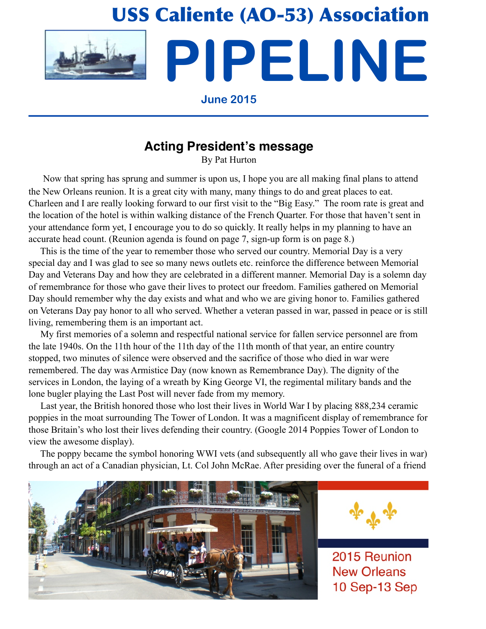# USS Caliente (AO-53) Association **PIPELINE**

### **June 2015**

# **Acting President's message**

By Pat Hurton

 Now that spring has sprung and summer is upon us, I hope you are all making final plans to attend the New Orleans reunion. It is a great city with many, many things to do and great places to eat. Charleen and I are really looking forward to our first visit to the "Big Easy." The room rate is great and the location of the hotel is within walking distance of the French Quarter. For those that haven't sent in your attendance form yet, I encourage you to do so quickly. It really helps in my planning to have an accurate head count. (Reunion agenda is found on page 7, sign-up form is on page 8.)

 This is the time of the year to remember those who served our country. Memorial Day is a very special day and I was glad to see so many news outlets etc. reinforce the difference between Memorial Day and Veterans Day and how they are celebrated in a different manner. Memorial Day is a solemn day of remembrance for those who gave their lives to protect our freedom. Families gathered on Memorial Day should remember why the day exists and what and who we are giving honor to. Families gathered on Veterans Day pay honor to all who served. Whether a veteran passed in war, passed in peace or is still living, remembering them is an important act.

 My first memories of a solemn and respectful national service for fallen service personnel are from the late 1940s. On the 11th hour of the 11th day of the 11th month of that year, an entire country stopped, two minutes of silence were observed and the sacrifice of those who died in war were remembered. The day was Armistice Day (now known as Remembrance Day). The dignity of the services in London, the laying of a wreath by King George VI, the regimental military bands and the lone bugler playing the Last Post will never fade from my memory.

 Last year, the British honored those who lost their lives in World War I by placing 888,234 ceramic poppies in the moat surrounding The Tower of London. It was a magnificent display of remembrance for those Britain's who lost their lives defending their country. (Google 2014 Poppies Tower of London to view the awesome display).

 The poppy became the symbol honoring WWI vets (and subsequently all who gave their lives in war) through an act of a Canadian physician, Lt. Col John McRae. After presiding over the funeral of a friend





2015 Reunion **New Orleans** 10 Sep-13 Sep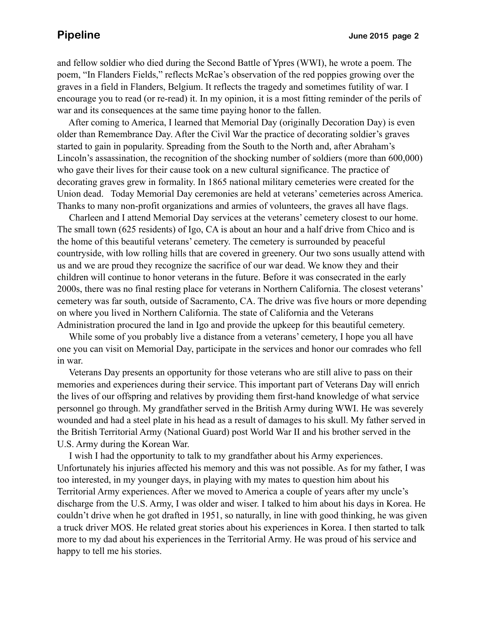and fellow soldier who died during the Second Battle of Ypres (WWI), he wrote a poem. The poem, "In Flanders Fields," reflects McRae's observation of the red poppies growing over the graves in a field in Flanders, Belgium. It reflects the tragedy and sometimes futility of war. I encourage you to read (or re-read) it. In my opinion, it is a most fitting reminder of the perils of war and its consequences at the same time paying honor to the fallen.

 After coming to America, I learned that Memorial Day (originally Decoration Day) is even older than Remembrance Day. After the Civil War the practice of decorating soldier's graves started to gain in popularity. Spreading from the South to the North and, after Abraham's Lincoln's assassination, the recognition of the shocking number of soldiers (more than 600,000) who gave their lives for their cause took on a new cultural significance. The practice of decorating graves grew in formality. In 1865 national military cemeteries were created for the Union dead. Today Memorial Day ceremonies are held at veterans' cemeteries across America. Thanks to many non-profit organizations and armies of volunteers, the graves all have flags.

 Charleen and I attend Memorial Day services at the veterans' cemetery closest to our home. The small town (625 residents) of Igo, CA is about an hour and a half drive from Chico and is the home of this beautiful veterans' cemetery. The cemetery is surrounded by peaceful countryside, with low rolling hills that are covered in greenery. Our two sons usually attend with us and we are proud they recognize the sacrifice of our war dead. We know they and their children will continue to honor veterans in the future. Before it was consecrated in the early 2000s, there was no final resting place for veterans in Northern California. The closest veterans' cemetery was far south, outside of Sacramento, CA. The drive was five hours or more depending on where you lived in Northern California. The state of California and the Veterans Administration procured the land in Igo and provide the upkeep for this beautiful cemetery.

 While some of you probably live a distance from a veterans' cemetery, I hope you all have one you can visit on Memorial Day, participate in the services and honor our comrades who fell in war.

 Veterans Day presents an opportunity for those veterans who are still alive to pass on their memories and experiences during their service. This important part of Veterans Day will enrich the lives of our offspring and relatives by providing them first-hand knowledge of what service personnel go through. My grandfather served in the British Army during WWI. He was severely wounded and had a steel plate in his head as a result of damages to his skull. My father served in the British Territorial Army (National Guard) post World War II and his brother served in the U.S. Army during the Korean War.

 I wish I had the opportunity to talk to my grandfather about his Army experiences. Unfortunately his injuries affected his memory and this was not possible. As for my father, I was too interested, in my younger days, in playing with my mates to question him about his Territorial Army experiences. After we moved to America a couple of years after my uncle's discharge from the U.S. Army, I was older and wiser. I talked to him about his days in Korea. He couldn't drive when he got drafted in 1951, so naturally, in line with good thinking, he was given a truck driver MOS. He related great stories about his experiences in Korea. I then started to talk more to my dad about his experiences in the Territorial Army. He was proud of his service and happy to tell me his stories.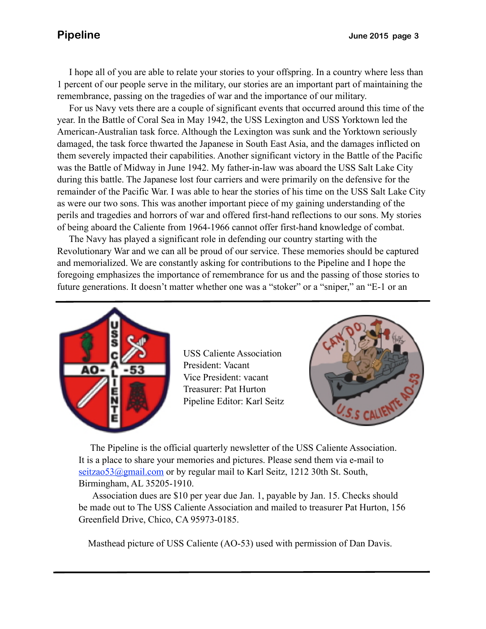I hope all of you are able to relate your stories to your offspring. In a country where less than 1 percent of our people serve in the military, our stories are an important part of maintaining the remembrance, passing on the tragedies of war and the importance of our military.

 damaged, the task force thwarted the Japanese in South East Asia, and the damages inflicted on For us Navy vets there are a couple of significant events that occurred around this time of the year. In the Battle of Coral Sea in May 1942, the USS Lexington and USS Yorktown led the American-Australian task force. Although the Lexington was sunk and the Yorktown seriously them severely impacted their capabilities. Another significant victory in the Battle of the Pacific was the Battle of Midway in June 1942. My father-in-law was aboard the USS Salt Lake City during this battle. The Japanese lost four carriers and were primarily on the defensive for the remainder of the Pacific War. I was able to hear the stories of his time on the USS Salt Lake City as were our two sons. This was another important piece of my gaining understanding of the perils and tragedies and horrors of war and offered first-hand reflections to our sons. My stories of being aboard the Caliente from 1964-1966 cannot offer first-hand knowledge of combat.

 The Navy has played a significant role in defending our country starting with the Revolutionary War and we can all be proud of our service. These memories should be captured and memorialized. We are constantly asking for contributions to the Pipeline and I hope the foregoing emphasizes the importance of remembrance for us and the passing of those stories to future generations. It doesn't matter whether one was a "stoker" or a "sniper," an "E-1 or an



USS Caliente Association President: Vacant Vice President: vacant Treasurer: Pat Hurton Pipeline Editor: Karl Seitz



 The Pipeline is the official quarterly newsletter of the USS Caliente Association. It is a place to share your memories and pictures. Please send them via e-mail to seitzao53@gmail.com or by regular mail to Karl Seitz, 1212 30th St. South, Birmingham, AL 35205-1910.

 Association dues are \$10 per year due Jan. 1, payable by Jan. 15. Checks should be made out to The USS Caliente Association and mailed to treasurer Pat Hurton, 156 Greenfield Drive, Chico, CA 95973-0185.

Masthead picture of USS Caliente (AO-53) used with permission of Dan Davis.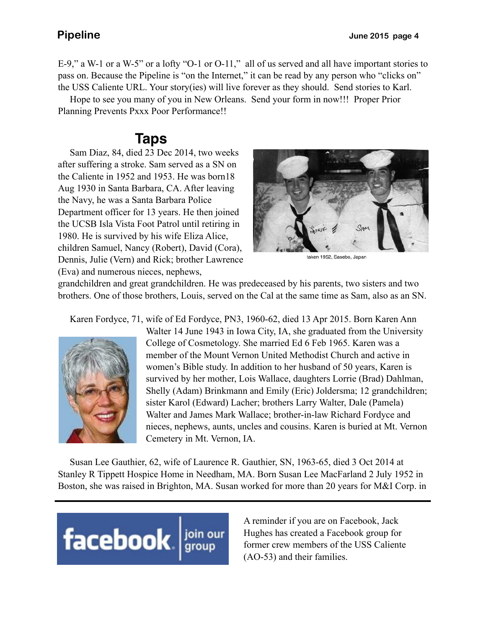E-9," a W-1 or a W-5" or a lofty "O-1 or O-11," all of us served and all have important stories to pass on. Because the Pipeline is "on the Internet," it can be read by any person who "clicks on" the USS Caliente URL. Your story(ies) will live forever as they should. Send stories to Karl.

 Hope to see you many of you in New Orleans. Send your form in now!!! Proper Prior Planning Prevents Pxxx Poor Performance!!

# **Taps**

 Sam Diaz, 84, died 23 Dec 2014, two weeks after suffering a stroke. Sam served as a SN on the Caliente in 1952 and 1953. He was born18 Aug 1930 in Santa Barbara, CA. After leaving the Navy, he was a Santa Barbara Police Department officer for 13 years. He then joined the UCSB Isla Vista Foot Patrol until retiring in 1980. He is survived by his wife Eliza Alice, children Samuel, Nancy (Robert), David (Cora), Dennis, Julie (Vern) and Rick; brother Lawrence (Eva) and numerous nieces, nephews,



taken 1952, Sasebo, Japan

grandchildren and great grandchildren. He was predeceased by his parents, two sisters and two brothers. One of those brothers, Louis, served on the Cal at the same time as Sam, also as an SN.

Karen Fordyce, 71, wife of Ed Fordyce, PN3, 1960-62, died 13 Apr 2015. Born Karen Ann



Walter 14 June 1943 in Iowa City, IA, she graduated from the University College of Cosmetology. She married Ed 6 Feb 1965. Karen was a member of the Mount Vernon United Methodist Church and active in women's Bible study. In addition to her husband of 50 years, Karen is survived by her mother, Lois Wallace, daughters Lorrie (Brad) Dahlman, Shelly (Adam) Brinkmann and Emily (Eric) Joldersma; 12 grandchildren; sister Karol (Edward) Lacher; brothers Larry Walter, Dale (Pamela) Walter and James Mark Wallace; brother-in-law Richard Fordyce and nieces, nephews, aunts, uncles and cousins. Karen is buried at Mt. Vernon Cemetery in Mt. Vernon, IA.

 Susan Lee Gauthier, 62, wife of Laurence R. Gauthier, SN, 1963-65, died 3 Oct 2014 at Stanley R Tippett Hospice Home in Needham, MA. Born Susan Lee MacFarland 2 July 1952 in Boston, she was raised in Brighton, MA. Susan worked for more than 20 years for M&I Corp. in



A reminder if you are on Facebook, Jack Hughes has created a Facebook group for former crew members of the USS Caliente (AO-53) and their families.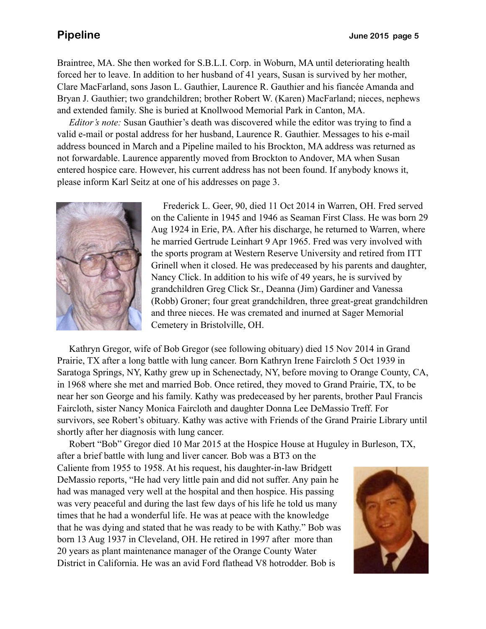Braintree, MA. She then worked for S.B.L.I. Corp. in Woburn, MA until deteriorating health forced her to leave. In addition to her husband of 41 years, Susan is survived by her mother, Clare MacFarland, sons Jason L. Gauthier, Laurence R. Gauthier and his fiancée Amanda and Bryan J. Gauthier; two grandchildren; brother Robert W. (Karen) MacFarland; nieces, nephews and extended family. She is buried at Knollwood Memorial Park in Canton, MA.

 *Editor's note:* Susan Gauthier's death was discovered while the editor was trying to find a valid e-mail or postal address for her husband, Laurence R. Gauthier. Messages to his e-mail address bounced in March and a Pipeline mailed to his Brockton, MA address was returned as not forwardable. Laurence apparently moved from Brockton to Andover, MA when Susan entered hospice care. However, his current address has not been found. If anybody knows it, please inform Karl Seitz at one of his addresses on page 3.



 Frederick L. Geer, 90, died 11 Oct 2014 in Warren, OH. Fred served on the Caliente in 1945 and 1946 as Seaman First Class. He was born 29 Aug 1924 in Erie, PA. After his discharge, he returned to Warren, where he married Gertrude Leinhart 9 Apr 1965. Fred was very involved with the sports program at Western Reserve University and retired from ITT Grinell when it closed. He was predeceased by his parents and daughter, Nancy Click. In addition to his wife of 49 years, he is survived by grandchildren Greg Click Sr., Deanna (Jim) Gardiner and Vanessa (Robb) Groner; four great grandchildren, three great-great grandchildren and three nieces. He was cremated and inurned at Sager Memorial Cemetery in Bristolville, OH.

 Kathryn Gregor, wife of Bob Gregor (see following obituary) died 15 Nov 2014 in Grand Prairie, TX after a long battle with lung cancer. Born Kathryn Irene Faircloth 5 Oct 1939 in Saratoga Springs, NY, Kathy grew up in Schenectady, NY, before moving to Orange County, CA, in 1968 where she met and married Bob. Once retired, they moved to Grand Prairie, TX, to be near her son George and his family. Kathy was predeceased by her parents, brother Paul Francis Faircloth, sister Nancy Monica Faircloth and daughter Donna Lee DeMassio Treff. For survivors, see Robert's obituary. Kathy was active with Friends of the Grand Prairie Library until shortly after her diagnosis with lung cancer.

 Robert "Bob" Gregor died 10 Mar 2015 at the Hospice House at Huguley in Burleson, TX, after a brief battle with lung and liver cancer. Bob was a BT3 on the Caliente from 1955 to 1958. At his request, his daughter-in-law Bridgett DeMassio reports, "He had very little pain and did not suffer. Any pain he had was managed very well at the hospital and then hospice. His passing

was very peaceful and during the last few days of his life he told us many times that he had a wonderful life. He was at peace with the knowledge that he was dying and stated that he was ready to be with Kathy." Bob was born 13 Aug 1937 in Cleveland, OH. He retired in 1997 after more than 20 years as plant maintenance manager of the Orange County Water District in California. He was an avid Ford flathead V8 hotrodder. Bob is

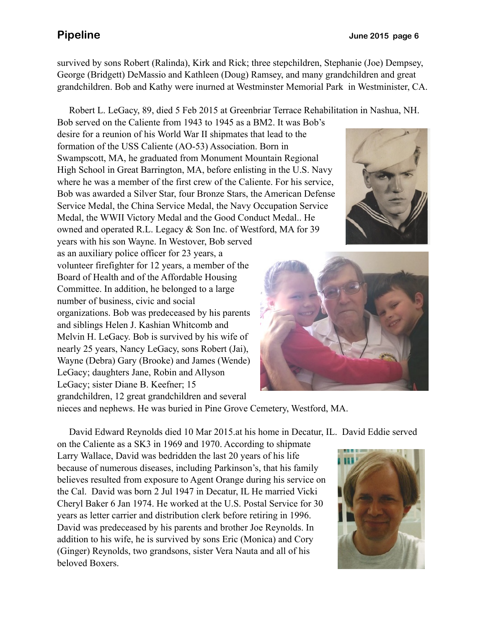survived by sons Robert (Ralinda), Kirk and Rick; three stepchildren, Stephanie (Joe) Dempsey, George (Bridgett) DeMassio and Kathleen (Doug) Ramsey, and many grandchildren and great grandchildren. Bob and Kathy were inurned at Westminster Memorial Park in Westminister, CA.

Robert L. LeGacy, 89, died 5 Feb 2015 at Greenbriar Terrace Rehabilitation in Nashua, NH.

Bob served on the Caliente from 1943 to 1945 as a BM2. It was Bob's desire for a reunion of his World War II shipmates that lead to the formation of the USS Caliente (AO-53) Association. Born in Swampscott, MA, he graduated from Monument Mountain Regional High School in Great Barrington, MA, before enlisting in the U.S. Navy where he was a member of the first crew of the Caliente. For his service, Bob was awarded a Silver Star, four Bronze Stars, the American Defense Service Medal, the China Service Medal, the Navy Occupation Service Medal, the WWII Victory Medal and the Good Conduct Medal.. He owned and operated R.L. Legacy & Son Inc. of Westford, MA for 39

years with his son Wayne. In Westover, Bob served as an auxiliary police officer for 23 years, a volunteer firefighter for 12 years, a member of the Board of Health and of the Affordable Housing Committee. In addition, he belonged to a large number of business, civic and social organizations. Bob was predeceased by his parents and siblings Helen J. Kashian Whitcomb and Melvin H. LeGacy. Bob is survived by his wife of nearly 25 years, Nancy LeGacy, sons Robert (Jai), Wayne (Debra) Gary (Brooke) and James (Wende) LeGacy; daughters Jane, Robin and Allyson LeGacy; sister Diane B. Keefner; 15 grandchildren, 12 great grandchildren and several





nieces and nephews. He was buried in Pine Grove Cemetery, Westford, MA.

David Edward Reynolds died 10 Mar 2015.at his home in Decatur, IL. David Eddie served

on the Caliente as a SK3 in 1969 and 1970. According to shipmate Larry Wallace, David was bedridden the last 20 years of his life because of numerous diseases, including Parkinson's, that his family believes resulted from exposure to Agent Orange during his service on the Cal. David was born 2 Jul 1947 in Decatur, IL He married Vicki Cheryl Baker 6 Jan 1974. He worked at the U.S. Postal Service for 30 years as letter carrier and distribution clerk before retiring in 1996. David was predeceased by his parents and brother Joe Reynolds. In addition to his wife, he is survived by sons Eric (Monica) and Cory (Ginger) Reynolds, two grandsons, sister Vera Nauta and all of his beloved Boxers.

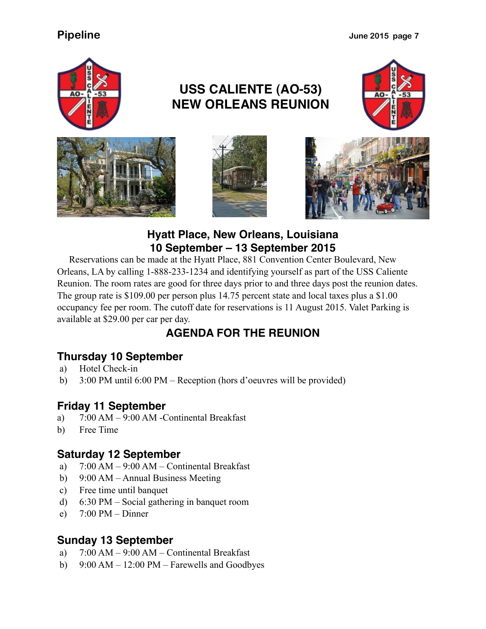**Pipeline** June 2015 page 7



# **USS CALIENTE (AO-53) NEW ORLEANS REUNION**









### **Hyatt Place, New Orleans, Louisiana 10 September – 13 September 2015**

 Reservations can be made at the Hyatt Place, 881 Convention Center Boulevard, New Orleans, LA by calling 1-888-233-1234 and identifying yourself as part of the USS Caliente Reunion. The room rates are good for three days prior to and three days post the reunion dates. The group rate is \$109.00 per person plus 14.75 percent state and local taxes plus a \$1.00 occupancy fee per room. The cutoff date for reservations is 11 August 2015. Valet Parking is available at \$29.00 per car per day.

# **AGENDA FOR THE REUNION**

### **Thursday 10 September**

- a) Hotel Check-in
- b) 3:00 PM until 6:00 PM Reception (hors d'oeuvres will be provided)

### **Friday 11 September**

- a) 7:00 AM 9:00 AM -Continental Breakfast
- b) Free Time

### **Saturday 12 September**

- a) 7:00 AM 9:00 AM Continental Breakfast
- b) 9:00 AM Annual Business Meeting
- c) Free time until banquet
- d) 6:30 PM Social gathering in banquet room
- e)  $7:00 \text{ PM} \text{Dinner}$

### **Sunday 13 September**

- a) 7:00 AM 9:00 AM Continental Breakfast
- b) 9:00 AM 12:00 PM Farewells and Goodbyes